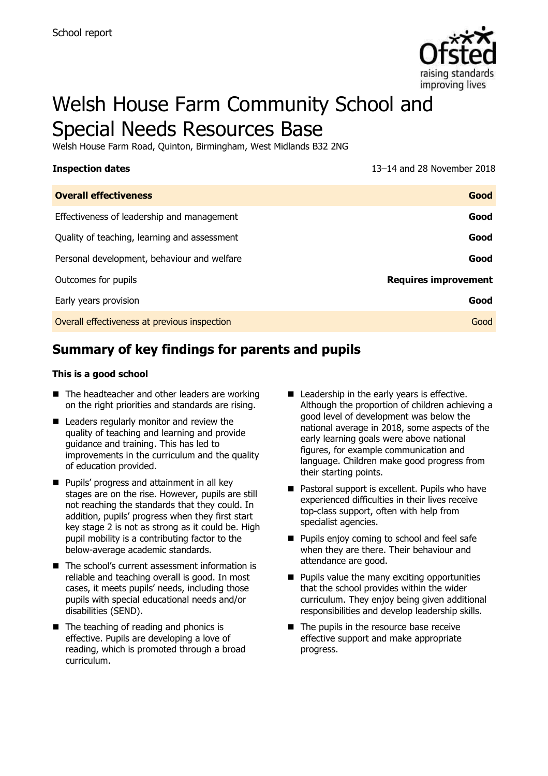

# Welsh House Farm Community School and Special Needs Resources Base

Welsh House Farm Road, Quinton, Birmingham, West Midlands B32 2NG

**Inspection dates** 13–14 and 28 November 2018

| <b>Overall effectiveness</b>                 | Good                        |
|----------------------------------------------|-----------------------------|
| Effectiveness of leadership and management   | Good                        |
| Quality of teaching, learning and assessment | Good                        |
| Personal development, behaviour and welfare  | Good                        |
| Outcomes for pupils                          | <b>Requires improvement</b> |
| Early years provision                        | Good                        |
| Overall effectiveness at previous inspection | Good                        |

# **Summary of key findings for parents and pupils**

#### **This is a good school**

- The headteacher and other leaders are working on the right priorities and standards are rising.
- Leaders regularly monitor and review the quality of teaching and learning and provide guidance and training. This has led to improvements in the curriculum and the quality of education provided.
- **Pupils' progress and attainment in all key** stages are on the rise. However, pupils are still not reaching the standards that they could. In addition, pupils' progress when they first start key stage 2 is not as strong as it could be. High pupil mobility is a contributing factor to the below-average academic standards.
- The school's current assessment information is reliable and teaching overall is good. In most cases, it meets pupils' needs, including those pupils with special educational needs and/or disabilities (SEND).
- The teaching of reading and phonics is effective. Pupils are developing a love of reading, which is promoted through a broad curriculum.
- Leadership in the early years is effective. Although the proportion of children achieving a good level of development was below the national average in 2018, some aspects of the early learning goals were above national figures, for example communication and language. Children make good progress from their starting points.
- Pastoral support is excellent. Pupils who have experienced difficulties in their lives receive top-class support, often with help from specialist agencies.
- **Pupils enjoy coming to school and feel safe** when they are there. Their behaviour and attendance are good.
- $\blacksquare$  Pupils value the many exciting opportunities that the school provides within the wider curriculum. They enjoy being given additional responsibilities and develop leadership skills.
- The pupils in the resource base receive effective support and make appropriate progress.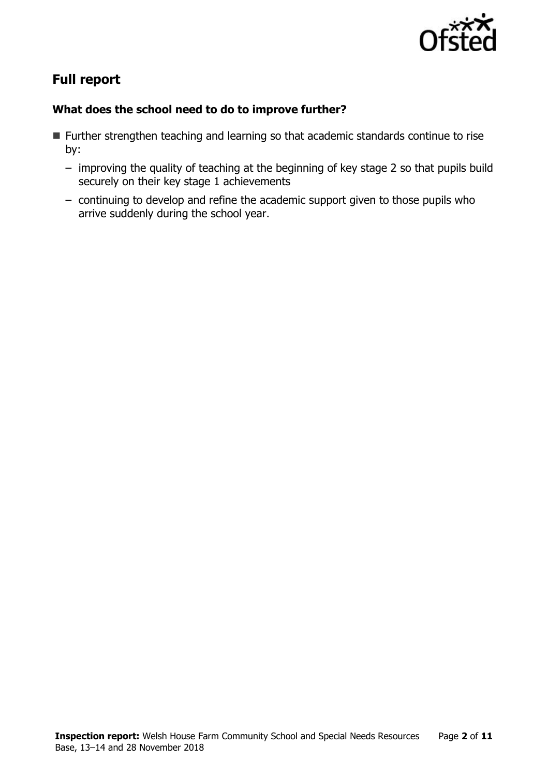

# **Full report**

### **What does the school need to do to improve further?**

- Further strengthen teaching and learning so that academic standards continue to rise by:
	- improving the quality of teaching at the beginning of key stage 2 so that pupils build securely on their key stage 1 achievements
	- continuing to develop and refine the academic support given to those pupils who arrive suddenly during the school year.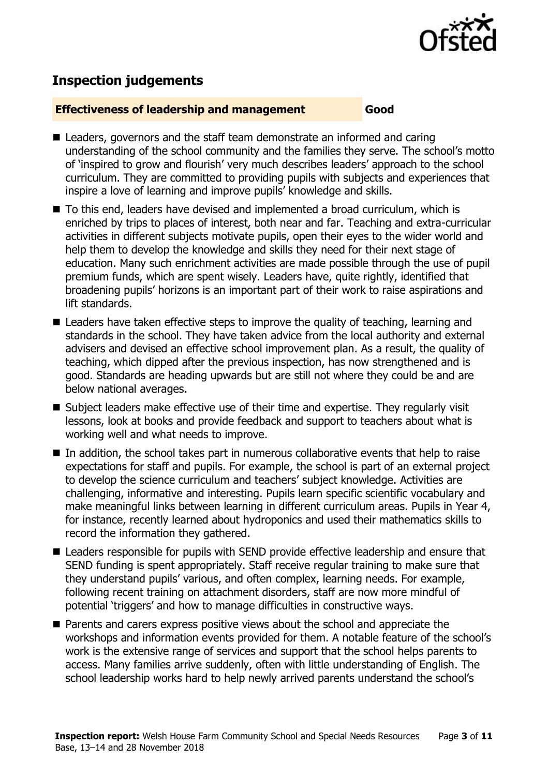

# **Inspection judgements**

#### **Effectiveness of leadership and management Good**

- Leaders, governors and the staff team demonstrate an informed and caring understanding of the school community and the families they serve. The school's motto of 'inspired to grow and flourish' very much describes leaders' approach to the school curriculum. They are committed to providing pupils with subjects and experiences that inspire a love of learning and improve pupils' knowledge and skills.
- To this end, leaders have devised and implemented a broad curriculum, which is enriched by trips to places of interest, both near and far. Teaching and extra-curricular activities in different subjects motivate pupils, open their eyes to the wider world and help them to develop the knowledge and skills they need for their next stage of education. Many such enrichment activities are made possible through the use of pupil premium funds, which are spent wisely. Leaders have, quite rightly, identified that broadening pupils' horizons is an important part of their work to raise aspirations and lift standards.
- Leaders have taken effective steps to improve the quality of teaching, learning and standards in the school. They have taken advice from the local authority and external advisers and devised an effective school improvement plan. As a result, the quality of teaching, which dipped after the previous inspection, has now strengthened and is good. Standards are heading upwards but are still not where they could be and are below national averages.
- Subject leaders make effective use of their time and expertise. They regularly visit lessons, look at books and provide feedback and support to teachers about what is working well and what needs to improve.
- In addition, the school takes part in numerous collaborative events that help to raise expectations for staff and pupils. For example, the school is part of an external project to develop the science curriculum and teachers' subject knowledge. Activities are challenging, informative and interesting. Pupils learn specific scientific vocabulary and make meaningful links between learning in different curriculum areas. Pupils in Year 4, for instance, recently learned about hydroponics and used their mathematics skills to record the information they gathered.
- Leaders responsible for pupils with SEND provide effective leadership and ensure that SEND funding is spent appropriately. Staff receive regular training to make sure that they understand pupils' various, and often complex, learning needs. For example, following recent training on attachment disorders, staff are now more mindful of potential 'triggers' and how to manage difficulties in constructive ways.
- **Parents and carers express positive views about the school and appreciate the** workshops and information events provided for them. A notable feature of the school's work is the extensive range of services and support that the school helps parents to access. Many families arrive suddenly, often with little understanding of English. The school leadership works hard to help newly arrived parents understand the school's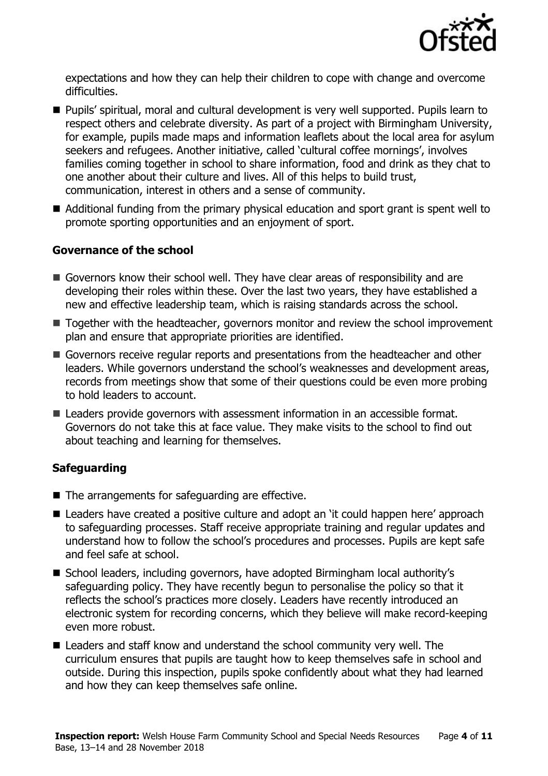

expectations and how they can help their children to cope with change and overcome difficulties.

- Pupils' spiritual, moral and cultural development is very well supported. Pupils learn to respect others and celebrate diversity. As part of a project with Birmingham University, for example, pupils made maps and information leaflets about the local area for asylum seekers and refugees. Another initiative, called 'cultural coffee mornings', involves families coming together in school to share information, food and drink as they chat to one another about their culture and lives. All of this helps to build trust, communication, interest in others and a sense of community.
- Additional funding from the primary physical education and sport grant is spent well to promote sporting opportunities and an enjoyment of sport.

#### **Governance of the school**

- Governors know their school well. They have clear areas of responsibility and are developing their roles within these. Over the last two years, they have established a new and effective leadership team, which is raising standards across the school.
- Together with the headteacher, governors monitor and review the school improvement plan and ensure that appropriate priorities are identified.
- Governors receive regular reports and presentations from the headteacher and other leaders. While governors understand the school's weaknesses and development areas, records from meetings show that some of their questions could be even more probing to hold leaders to account.
- Leaders provide governors with assessment information in an accessible format. Governors do not take this at face value. They make visits to the school to find out about teaching and learning for themselves.

### **Safeguarding**

- $\blacksquare$  The arrangements for safeguarding are effective.
- Leaders have created a positive culture and adopt an 'it could happen here' approach to safeguarding processes. Staff receive appropriate training and regular updates and understand how to follow the school's procedures and processes. Pupils are kept safe and feel safe at school.
- School leaders, including governors, have adopted Birmingham local authority's safeguarding policy. They have recently begun to personalise the policy so that it reflects the school's practices more closely. Leaders have recently introduced an electronic system for recording concerns, which they believe will make record-keeping even more robust.
- Leaders and staff know and understand the school community very well. The curriculum ensures that pupils are taught how to keep themselves safe in school and outside. During this inspection, pupils spoke confidently about what they had learned and how they can keep themselves safe online.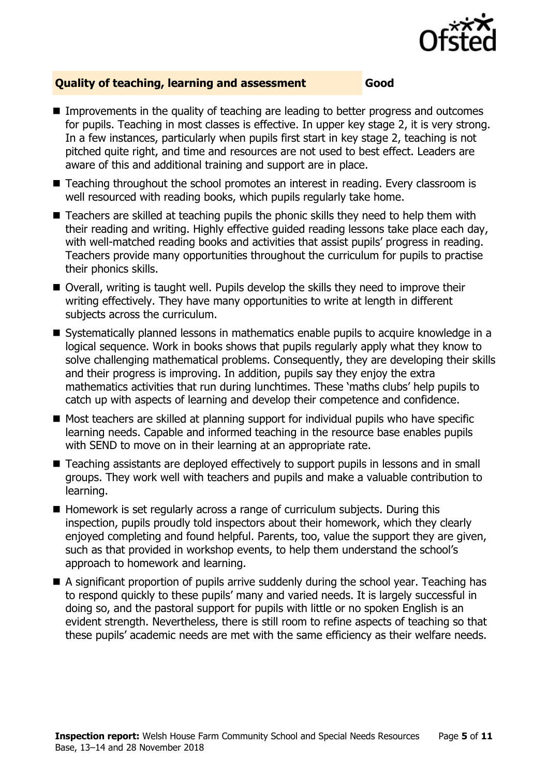

#### **Quality of teaching, learning and assessment Good**

- Improvements in the quality of teaching are leading to better progress and outcomes for pupils. Teaching in most classes is effective. In upper key stage 2, it is very strong. In a few instances, particularly when pupils first start in key stage 2, teaching is not pitched quite right, and time and resources are not used to best effect. Leaders are aware of this and additional training and support are in place.
- Teaching throughout the school promotes an interest in reading. Every classroom is well resourced with reading books, which pupils regularly take home.
- Teachers are skilled at teaching pupils the phonic skills they need to help them with their reading and writing. Highly effective guided reading lessons take place each day, with well-matched reading books and activities that assist pupils' progress in reading. Teachers provide many opportunities throughout the curriculum for pupils to practise their phonics skills.
- Overall, writing is taught well. Pupils develop the skills they need to improve their writing effectively. They have many opportunities to write at length in different subjects across the curriculum.
- Systematically planned lessons in mathematics enable pupils to acquire knowledge in a logical sequence. Work in books shows that pupils regularly apply what they know to solve challenging mathematical problems. Consequently, they are developing their skills and their progress is improving. In addition, pupils say they enjoy the extra mathematics activities that run during lunchtimes. These 'maths clubs' help pupils to catch up with aspects of learning and develop their competence and confidence.
- $\blacksquare$  Most teachers are skilled at planning support for individual pupils who have specific learning needs. Capable and informed teaching in the resource base enables pupils with SEND to move on in their learning at an appropriate rate.
- Teaching assistants are deployed effectively to support pupils in lessons and in small groups. They work well with teachers and pupils and make a valuable contribution to learning.
- $\blacksquare$  Homework is set regularly across a range of curriculum subjects. During this inspection, pupils proudly told inspectors about their homework, which they clearly enjoyed completing and found helpful. Parents, too, value the support they are given, such as that provided in workshop events, to help them understand the school's approach to homework and learning.
- A significant proportion of pupils arrive suddenly during the school year. Teaching has to respond quickly to these pupils' many and varied needs. It is largely successful in doing so, and the pastoral support for pupils with little or no spoken English is an evident strength. Nevertheless, there is still room to refine aspects of teaching so that these pupils' academic needs are met with the same efficiency as their welfare needs.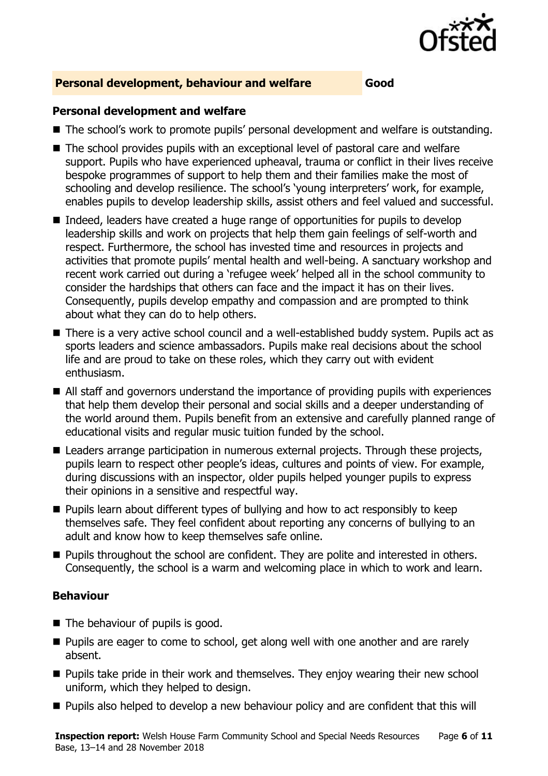

### **Personal development, behaviour and welfare Good**

#### **Personal development and welfare**

- The school's work to promote pupils' personal development and welfare is outstanding.
- The school provides pupils with an exceptional level of pastoral care and welfare support. Pupils who have experienced upheaval, trauma or conflict in their lives receive bespoke programmes of support to help them and their families make the most of schooling and develop resilience. The school's 'young interpreters' work, for example, enables pupils to develop leadership skills, assist others and feel valued and successful.
- Indeed, leaders have created a huge range of opportunities for pupils to develop leadership skills and work on projects that help them gain feelings of self-worth and respect. Furthermore, the school has invested time and resources in projects and activities that promote pupils' mental health and well-being. A sanctuary workshop and recent work carried out during a 'refugee week' helped all in the school community to consider the hardships that others can face and the impact it has on their lives. Consequently, pupils develop empathy and compassion and are prompted to think about what they can do to help others.
- There is a very active school council and a well-established buddy system. Pupils act as sports leaders and science ambassadors. Pupils make real decisions about the school life and are proud to take on these roles, which they carry out with evident enthusiasm.
- All staff and governors understand the importance of providing pupils with experiences that help them develop their personal and social skills and a deeper understanding of the world around them. Pupils benefit from an extensive and carefully planned range of educational visits and regular music tuition funded by the school.
- Leaders arrange participation in numerous external projects. Through these projects, pupils learn to respect other people's ideas, cultures and points of view. For example, during discussions with an inspector, older pupils helped younger pupils to express their opinions in a sensitive and respectful way.
- **Pupils learn about different types of bullying and how to act responsibly to keep** themselves safe. They feel confident about reporting any concerns of bullying to an adult and know how to keep themselves safe online.
- **Pupils throughout the school are confident. They are polite and interested in others.** Consequently, the school is a warm and welcoming place in which to work and learn.

#### **Behaviour**

- The behaviour of pupils is good.
- **Pupils are eager to come to school, get along well with one another and are rarely** absent.
- **Pupils take pride in their work and themselves. They enjoy wearing their new school** uniform, which they helped to design.
- **Pupils also helped to develop a new behaviour policy and are confident that this will**

**Inspection report:** Welsh House Farm Community School and Special Needs Resources Base, 13–14 and 28 November 2018 Page **6** of **11**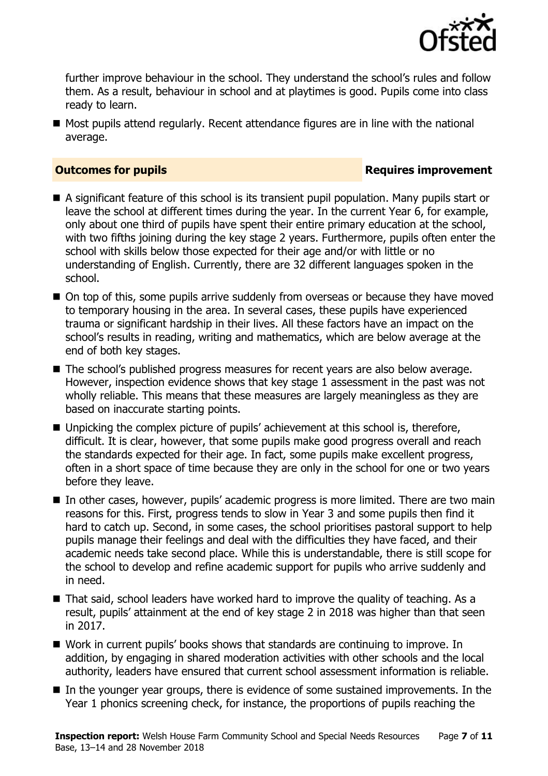

further improve behaviour in the school. They understand the school's rules and follow them. As a result, behaviour in school and at playtimes is good. Pupils come into class ready to learn.

■ Most pupils attend regularly. Recent attendance figures are in line with the national average.

#### **Outcomes for pupils Requires improvement**

- A significant feature of this school is its transient pupil population. Many pupils start or leave the school at different times during the year. In the current Year 6, for example, only about one third of pupils have spent their entire primary education at the school, with two fifths joining during the key stage 2 years. Furthermore, pupils often enter the school with skills below those expected for their age and/or with little or no understanding of English. Currently, there are 32 different languages spoken in the school.
- On top of this, some pupils arrive suddenly from overseas or because they have moved to temporary housing in the area. In several cases, these pupils have experienced trauma or significant hardship in their lives. All these factors have an impact on the school's results in reading, writing and mathematics, which are below average at the end of both key stages.
- The school's published progress measures for recent years are also below average. However, inspection evidence shows that key stage 1 assessment in the past was not wholly reliable. This means that these measures are largely meaningless as they are based on inaccurate starting points.
- Unpicking the complex picture of pupils' achievement at this school is, therefore, difficult. It is clear, however, that some pupils make good progress overall and reach the standards expected for their age. In fact, some pupils make excellent progress, often in a short space of time because they are only in the school for one or two years before they leave.
- In other cases, however, pupils' academic progress is more limited. There are two main reasons for this. First, progress tends to slow in Year 3 and some pupils then find it hard to catch up. Second, in some cases, the school prioritises pastoral support to help pupils manage their feelings and deal with the difficulties they have faced, and their academic needs take second place. While this is understandable, there is still scope for the school to develop and refine academic support for pupils who arrive suddenly and in need.
- That said, school leaders have worked hard to improve the quality of teaching. As a result, pupils' attainment at the end of key stage 2 in 2018 was higher than that seen in 2017.
- Work in current pupils' books shows that standards are continuing to improve. In addition, by engaging in shared moderation activities with other schools and the local authority, leaders have ensured that current school assessment information is reliable.
- In the younger year groups, there is evidence of some sustained improvements. In the Year 1 phonics screening check, for instance, the proportions of pupils reaching the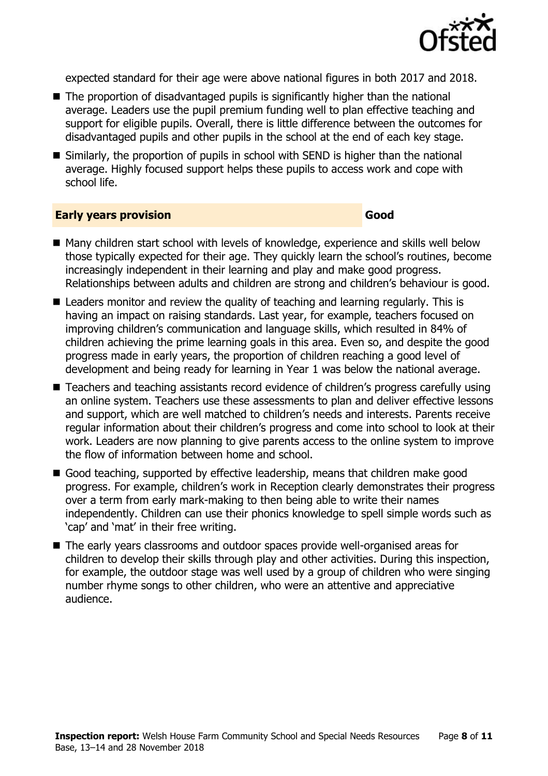

expected standard for their age were above national figures in both 2017 and 2018.

- The proportion of disadvantaged pupils is significantly higher than the national average. Leaders use the pupil premium funding well to plan effective teaching and support for eligible pupils. Overall, there is little difference between the outcomes for disadvantaged pupils and other pupils in the school at the end of each key stage.
- Similarly, the proportion of pupils in school with SEND is higher than the national average. Highly focused support helps these pupils to access work and cope with school life.

#### **Early years provision Good Good**

- Many children start school with levels of knowledge, experience and skills well below those typically expected for their age. They quickly learn the school's routines, become increasingly independent in their learning and play and make good progress. Relationships between adults and children are strong and children's behaviour is good.
- Leaders monitor and review the quality of teaching and learning regularly. This is having an impact on raising standards. Last year, for example, teachers focused on improving children's communication and language skills, which resulted in 84% of children achieving the prime learning goals in this area. Even so, and despite the good progress made in early years, the proportion of children reaching a good level of development and being ready for learning in Year 1 was below the national average.
- Teachers and teaching assistants record evidence of children's progress carefully using an online system. Teachers use these assessments to plan and deliver effective lessons and support, which are well matched to children's needs and interests. Parents receive regular information about their children's progress and come into school to look at their work. Leaders are now planning to give parents access to the online system to improve the flow of information between home and school.
- Good teaching, supported by effective leadership, means that children make good progress. For example, children's work in Reception clearly demonstrates their progress over a term from early mark-making to then being able to write their names independently. Children can use their phonics knowledge to spell simple words such as 'cap' and 'mat' in their free writing.
- The early years classrooms and outdoor spaces provide well-organised areas for children to develop their skills through play and other activities. During this inspection, for example, the outdoor stage was well used by a group of children who were singing number rhyme songs to other children, who were an attentive and appreciative audience.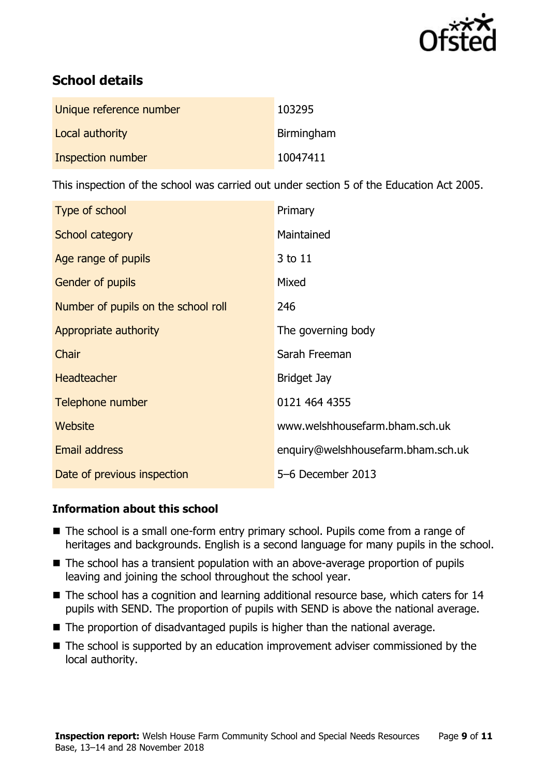

# **School details**

| Unique reference number | 103295     |
|-------------------------|------------|
| Local authority         | Birmingham |
| Inspection number       | 10047411   |

This inspection of the school was carried out under section 5 of the Education Act 2005.

| Type of school                      | Primary                            |
|-------------------------------------|------------------------------------|
| School category                     | Maintained                         |
| Age range of pupils                 | 3 to 11                            |
| <b>Gender of pupils</b>             | Mixed                              |
| Number of pupils on the school roll | 246                                |
| Appropriate authority               | The governing body                 |
| Chair                               | Sarah Freeman                      |
| <b>Headteacher</b>                  | <b>Bridget Jay</b>                 |
| Telephone number                    | 0121 464 4355                      |
| Website                             | www.welshhousefarm.bham.sch.uk     |
| <b>Email address</b>                | enquiry@welshhousefarm.bham.sch.uk |
| Date of previous inspection         | 5-6 December 2013                  |

### **Information about this school**

- The school is a small one-form entry primary school. Pupils come from a range of heritages and backgrounds. English is a second language for many pupils in the school.
- The school has a transient population with an above-average proportion of pupils leaving and joining the school throughout the school year.
- The school has a cognition and learning additional resource base, which caters for 14 pupils with SEND. The proportion of pupils with SEND is above the national average.
- The proportion of disadvantaged pupils is higher than the national average.
- The school is supported by an education improvement adviser commissioned by the local authority.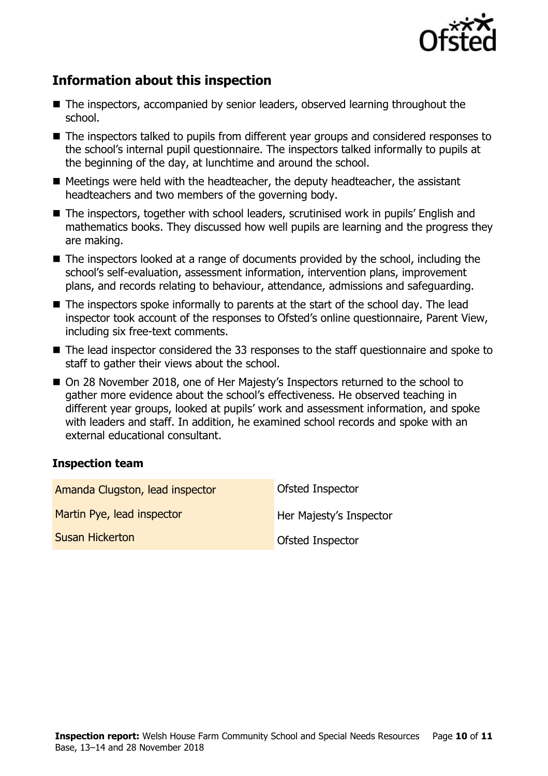

# **Information about this inspection**

- The inspectors, accompanied by senior leaders, observed learning throughout the school.
- The inspectors talked to pupils from different year groups and considered responses to the school's internal pupil questionnaire. The inspectors talked informally to pupils at the beginning of the day, at lunchtime and around the school.
- Meetings were held with the headteacher, the deputy headteacher, the assistant headteachers and two members of the governing body.
- The inspectors, together with school leaders, scrutinised work in pupils' English and mathematics books. They discussed how well pupils are learning and the progress they are making.
- The inspectors looked at a range of documents provided by the school, including the school's self-evaluation, assessment information, intervention plans, improvement plans, and records relating to behaviour, attendance, admissions and safeguarding.
- The inspectors spoke informally to parents at the start of the school day. The lead inspector took account of the responses to Ofsted's online questionnaire, Parent View, including six free-text comments.
- The lead inspector considered the 33 responses to the staff questionnaire and spoke to staff to gather their views about the school.
- On 28 November 2018, one of Her Majesty's Inspectors returned to the school to gather more evidence about the school's effectiveness. He observed teaching in different year groups, looked at pupils' work and assessment information, and spoke with leaders and staff. In addition, he examined school records and spoke with an external educational consultant.

### **Inspection team**

| Amanda Clugston, lead inspector | <b>Ofsted Inspector</b> |
|---------------------------------|-------------------------|
| Martin Pye, lead inspector      | Her Majesty's Inspector |
| <b>Susan Hickerton</b>          | Ofsted Inspector        |